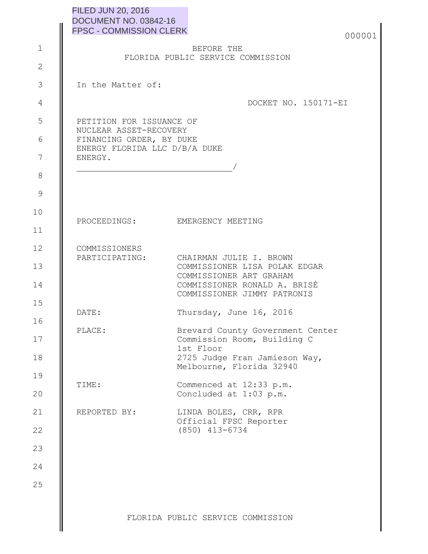| <b>FILED JUN 20, 2016</b>      |
|--------------------------------|
| DOCUMENT NO. 03842-16          |
| <b>FPSC - COMMISSION CLERK</b> |
|                                |

| 000001 |
|--------|
|        |

## BEFORE THE FLORIDA PUBLIC SERVICE COMMISSION

In the Matter of:

1

2

3

4

5

6

7

8

9

10

11

12

16

17

18

19

20

21

22

DOCKET NO. 150171-EI

| PETITION FOR ISSUANCE OF      |
|-------------------------------|
| NUCLEAR ASSET-RECOVERY        |
| FINANCING ORDER, BY DUKE      |
| ENERGY FLORIDA LLC D/B/A DUKE |
| ENERGY.                       |
|                               |

\_\_\_\_\_\_\_\_\_\_\_\_\_\_\_\_\_\_\_\_\_\_\_\_\_\_\_\_\_\_\_/

COMMISSIONERS

PROCEEDINGS: EMERGENCY MEETING

|    | PARTICIPATING: | CHAIRMAN JULIE I. BROWN       |
|----|----------------|-------------------------------|
| 13 |                | COMMISSIONER LISA POLAK EDGAR |
|    |                | COMMISSIONER ART GRAHAM       |
| 14 |                | COMMISSIONER RONALD A. BRISÉ  |
|    |                | COMMISSIONER JIMMY PATRONIS   |
| 15 |                |                               |
|    | DATE:          | Thursday, June 16, 2016       |

PLACE: Brevard County Government Center Commission Room, Building C 1st Floor 2725 Judge Fran Jamieson Way, Melbourne, Florida 32940

TIME: Commenced at 12:33 p.m. Concluded at 1:03 p.m.

REPORTED BY: LINDA BOLES, CRR, RPR Official FPSC Reporter (850) 413-6734

23 24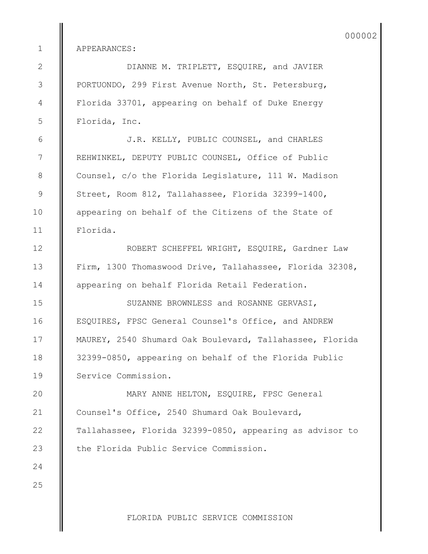APPEARANCES:

1

2

3

4

5

6

7

8

9

10

11

12

13

14

15

16

17

18

19

DIANNE M. TRIPLETT, ESQUIRE, and JAVIER PORTUONDO, 299 First Avenue North, St. Petersburg, Florida 33701, appearing on behalf of Duke Energy Florida, Inc.

J.R. KELLY, PUBLIC COUNSEL, and CHARLES REHWINKEL, DEPUTY PUBLIC COUNSEL, Office of Public Counsel, c/o the Florida Legislature, 111 W. Madison Street, Room 812, Tallahassee, Florida 32399-1400, appearing on behalf of the Citizens of the State of Florida.

ROBERT SCHEFFEL WRIGHT, ESQUIRE, Gardner Law Firm, 1300 Thomaswood Drive, Tallahassee, Florida 32308, appearing on behalf Florida Retail Federation.

SUZANNE BROWNLESS and ROSANNE GERVASI, ESQUIRES, FPSC General Counsel's Office, and ANDREW MAUREY, 2540 Shumard Oak Boulevard, Tallahassee, Florida 32399-0850, appearing on behalf of the Florida Public Service Commission.

 MARY ANNE HELTON, ESQUIRE, FPSC General Counsel's Office, 2540 Shumard Oak Boulevard, Tallahassee, Florida 32399-0850, appearing as advisor to the Florida Public Service Commission. 20 21 22 23

25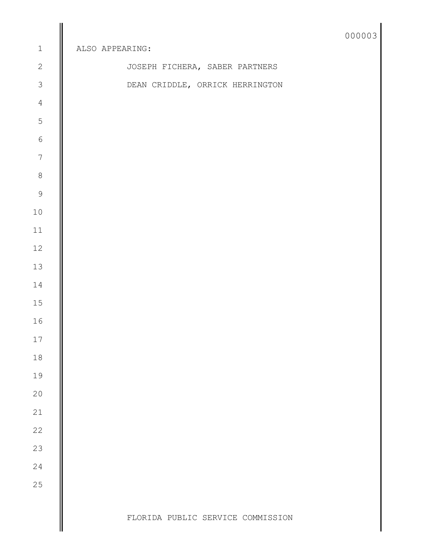|                  |                                   | 000003 |
|------------------|-----------------------------------|--------|
| $\,1$            | ALSO APPEARING:                   |        |
| $\mathbf{2}$     | JOSEPH FICHERA, SABER PARTNERS    |        |
| $\overline{3}$   | DEAN CRIDDLE, ORRICK HERRINGTON   |        |
| $\overline{4}$   |                                   |        |
| $\mathsf S$      |                                   |        |
| $\epsilon$       |                                   |        |
| $\boldsymbol{7}$ |                                   |        |
| $\,8\,$          |                                   |        |
| $\mathcal{G}$    |                                   |        |
| $10$             |                                   |        |
| $11$             |                                   |        |
| $12\,$           |                                   |        |
| $13\,$           |                                   |        |
| 14               |                                   |        |
| 15               |                                   |        |
| 16               |                                   |        |
| $17\,$           |                                   |        |
| $18\,$           |                                   |        |
| 19               |                                   |        |
| $20$             |                                   |        |
| $21\,$           |                                   |        |
| 22               |                                   |        |
| 23               |                                   |        |
| 24               |                                   |        |
| 25               |                                   |        |
|                  | FLORIDA PUBLIC SERVICE COMMISSION |        |
|                  |                                   |        |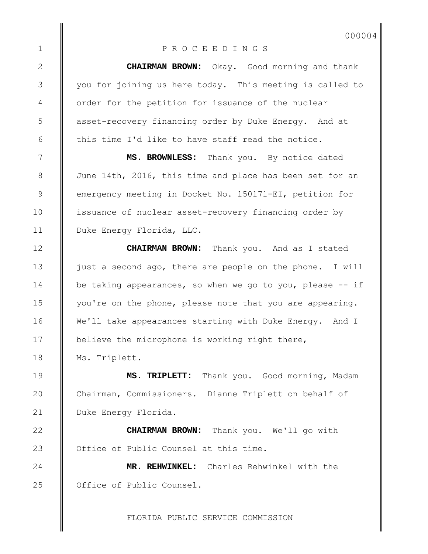## P R O C E E D I N G S

1

2

3

4

5

6

7

8

9

10

11

12

13

14

15

16

17

18

19

20

21

22

23

24

25

**CHAIRMAN BROWN:** Okay. Good morning and thank you for joining us here today. This meeting is called to order for the petition for issuance of the nuclear asset-recovery financing order by Duke Energy. And at this time I'd like to have staff read the notice.

**MS. BROWNLESS:** Thank you. By notice dated June 14th, 2016, this time and place has been set for an emergency meeting in Docket No. 150171-EI, petition for issuance of nuclear asset-recovery financing order by Duke Energy Florida, LLC.

**CHAIRMAN BROWN:** Thank you. And as I stated just a second ago, there are people on the phone. I will be taking appearances, so when we go to you, please -- if you're on the phone, please note that you are appearing. We'll take appearances starting with Duke Energy. And I believe the microphone is working right there, Ms. Triplett.

**MS. TRIPLETT:** Thank you. Good morning, Madam Chairman, Commissioners. Dianne Triplett on behalf of Duke Energy Florida.

**CHAIRMAN BROWN:** Thank you. We'll go with Office of Public Counsel at this time.

**MR. REHWINKEL:** Charles Rehwinkel with the Office of Public Counsel.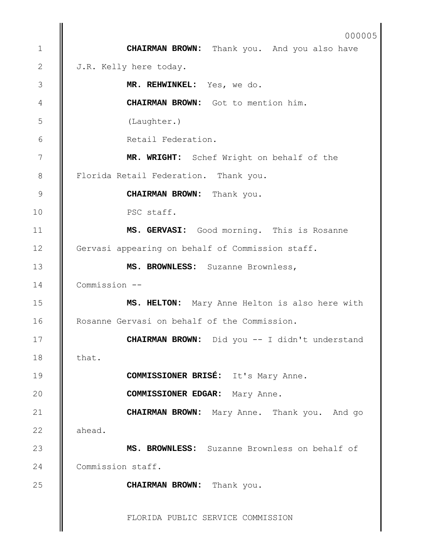## FLORIDA PUBLIC SERVICE COMMISSION **CHAIRMAN BROWN:** Thank you. And you also have J.R. Kelly here today. **MR. REHWINKEL:** Yes, we do. **CHAIRMAN BROWN:** Got to mention him. (Laughter.) Retail Federation. **MR. WRIGHT:** Schef Wright on behalf of the Florida Retail Federation. Thank you. **CHAIRMAN BROWN:** Thank you. PSC staff. **MS. GERVASI:** Good morning. This is Rosanne Gervasi appearing on behalf of Commission staff. **MS. BROWNLESS:** Suzanne Brownless, Commission -- **MS. HELTON:** Mary Anne Helton is also here with Rosanne Gervasi on behalf of the Commission. **CHAIRMAN BROWN:** Did you -- I didn't understand that. **COMMISSIONER BRISÉ:** It's Mary Anne. **COMMISSIONER EDGAR:** Mary Anne. **CHAIRMAN BROWN:** Mary Anne. Thank you. And go ahead. **MS. BROWNLESS:** Suzanne Brownless on behalf of Commission staff. **CHAIRMAN BROWN:** Thank you. 1 2 3 4 5 6 7 8 9 10 11 12 13 14 15 16 17 18 19 20 21 22 23 24 25 000005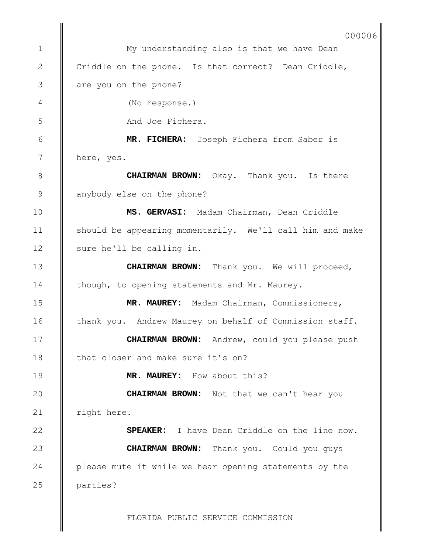My understanding also is that we have Dean Criddle on the phone. Is that correct? Dean Criddle, are you on the phone? (No response.) And Joe Fichera. **MR. FICHERA:** Joseph Fichera from Saber is here, yes. **CHAIRMAN BROWN:** Okay. Thank you. Is there anybody else on the phone? **MS. GERVASI:** Madam Chairman, Dean Criddle should be appearing momentarily. We'll call him and make sure he'll be calling in. **CHAIRMAN BROWN:** Thank you. We will proceed, though, to opening statements and Mr. Maurey. **MR. MAUREY:** Madam Chairman, Commissioners, thank you. Andrew Maurey on behalf of Commission staff. **CHAIRMAN BROWN:** Andrew, could you please push that closer and make sure it's on? **MR. MAUREY:** How about this? **CHAIRMAN BROWN:** Not that we can't hear you right here. **SPEAKER:** I have Dean Criddle on the line now. **CHAIRMAN BROWN:** Thank you. Could you guys please mute it while we hear opening statements by the parties? 1 2 3 4 5 6 7 8 9 10 11 12 13 14 15 16 17 18 19 20 21 22 23 24 25 000006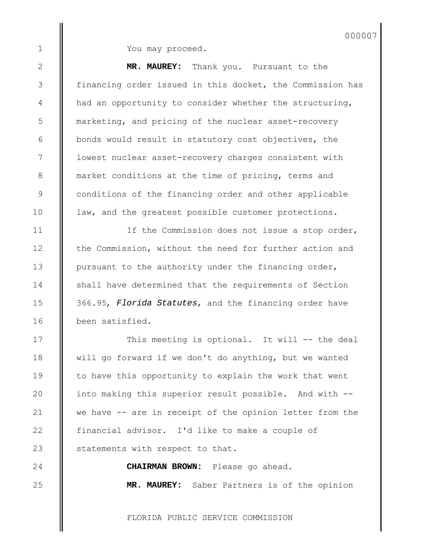2

3

4

5

6

7

8

9

10

11

12

13

14

15

16

17

18

19

20

21

22

23

24

25

You may proceed.

**MR. MAUREY:** Thank you. Pursuant to the financing order issued in this docket, the Commission has had an opportunity to consider whether the structuring, marketing, and pricing of the nuclear asset-recovery bonds would result in statutory cost objectives, the lowest nuclear asset-recovery charges consistent with market conditions at the time of pricing, terms and conditions of the financing order and other applicable law, and the greatest possible customer protections.

If the Commission does not issue a stop order, the Commission, without the need for further action and pursuant to the authority under the financing order, shall have determined that the requirements of Section 366.95*, Florida Statutes*, and the financing order have been satisfied.

This meeting is optional. It will -- the deal will go forward if we don't do anything, but we wanted to have this opportunity to explain the work that went into making this superior result possible. And with - we have -- are in receipt of the opinion letter from the financial advisor. I'd like to make a couple of statements with respect to that.

> **CHAIRMAN BROWN:** Please go ahead. **MR. MAUREY:** Saber Partners is of the opinion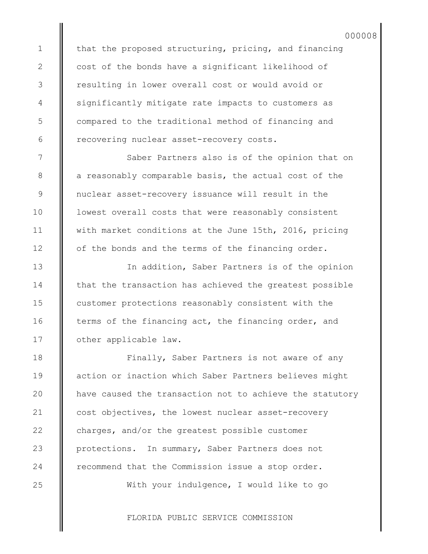that the proposed structuring, pricing, and financing cost of the bonds have a significant likelihood of resulting in lower overall cost or would avoid or significantly mitigate rate impacts to customers as compared to the traditional method of financing and recovering nuclear asset-recovery costs.

Saber Partners also is of the opinion that on a reasonably comparable basis, the actual cost of the nuclear asset-recovery issuance will result in the lowest overall costs that were reasonably consistent with market conditions at the June 15th, 2016, pricing of the bonds and the terms of the financing order.

In addition, Saber Partners is of the opinion that the transaction has achieved the greatest possible customer protections reasonably consistent with the terms of the financing act, the financing order, and other applicable law.

Finally, Saber Partners is not aware of any action or inaction which Saber Partners believes might have caused the transaction not to achieve the statutory cost objectives, the lowest nuclear asset-recovery charges, and/or the greatest possible customer protections. In summary, Saber Partners does not recommend that the Commission issue a stop order.

With your indulgence, I would like to go

FLORIDA PUBLIC SERVICE COMMISSION

25

1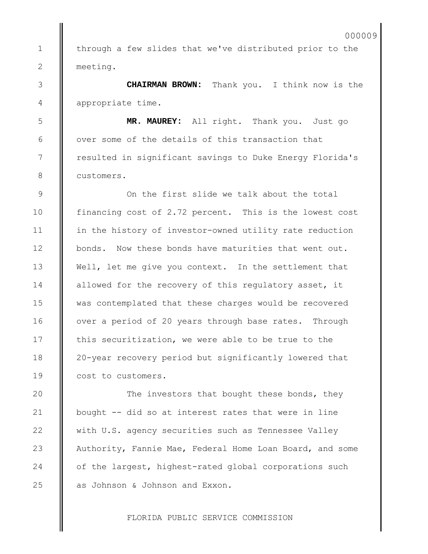through a few slides that we've distributed prior to the meeting.

1

2

3

4

5

6

7

8

9

10

11

12

13

14

15

16

17

18

19

 $20$ 

21

22

23

24

25

**CHAIRMAN BROWN:** Thank you. I think now is the appropriate time.

**MR. MAUREY:** All right. Thank you. Just go over some of the details of this transaction that resulted in significant savings to Duke Energy Florida's customers.

On the first slide we talk about the total financing cost of 2.72 percent. This is the lowest cost in the history of investor-owned utility rate reduction bonds. Now these bonds have maturities that went out. Well, let me give you context. In the settlement that allowed for the recovery of this regulatory asset, it was contemplated that these charges would be recovered over a period of 20 years through base rates. Through this securitization, we were able to be true to the 20-year recovery period but significantly lowered that cost to customers.

The investors that bought these bonds, they bought -- did so at interest rates that were in line with U.S. agency securities such as Tennessee Valley Authority, Fannie Mae, Federal Home Loan Board, and some of the largest, highest-rated global corporations such as Johnson & Johnson and Exxon.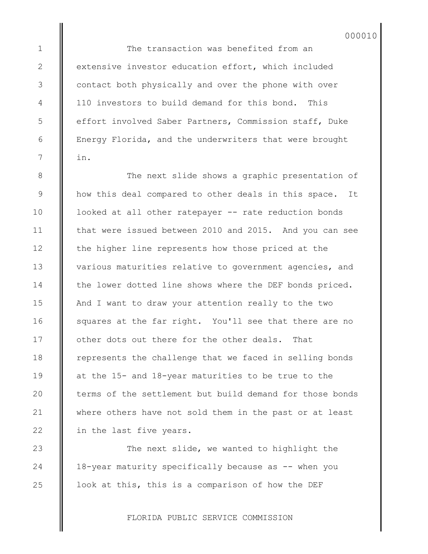The transaction was benefited from an extensive investor education effort, which included contact both physically and over the phone with over 110 investors to build demand for this bond. This effort involved Saber Partners, Commission staff, Duke Energy Florida, and the underwriters that were brought in.

The next slide shows a graphic presentation of how this deal compared to other deals in this space. It looked at all other ratepayer -- rate reduction bonds that were issued between 2010 and 2015. And you can see the higher line represents how those priced at the various maturities relative to government agencies, and the lower dotted line shows where the DEF bonds priced. And I want to draw your attention really to the two squares at the far right. You'll see that there are no other dots out there for the other deals. That represents the challenge that we faced in selling bonds at the 15- and 18-year maturities to be true to the terms of the settlement but build demand for those bonds where others have not sold them in the past or at least in the last five years.

The next slide, we wanted to highlight the 18-year maturity specifically because as -- when you look at this, this is a comparison of how the DEF

FLORIDA PUBLIC SERVICE COMMISSION

1

2

3

4

5

6

7

8

9

10

11

12

13

14

15

16

17

18

19

20

21

22

23

24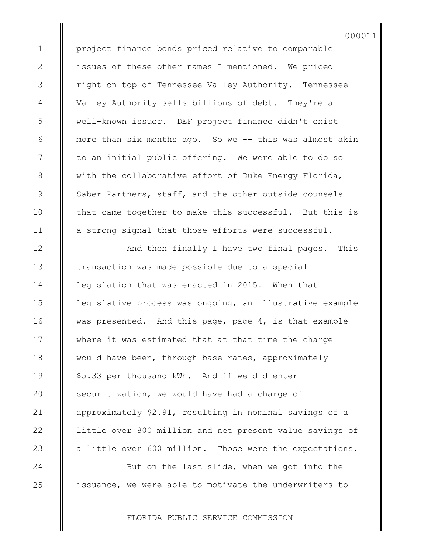project finance bonds priced relative to comparable issues of these other names I mentioned. We priced right on top of Tennessee Valley Authority. Tennessee Valley Authority sells billions of debt. They're a well-known issuer. DEF project finance didn't exist more than six months ago. So we -- this was almost akin to an initial public offering. We were able to do so with the collaborative effort of Duke Energy Florida, Saber Partners, staff, and the other outside counsels that came together to make this successful. But this is a strong signal that those efforts were successful.

And then finally I have two final pages. This transaction was made possible due to a special legislation that was enacted in 2015. When that legislative process was ongoing, an illustrative example was presented. And this page, page 4, is that example where it was estimated that at that time the charge would have been, through base rates, approximately \$5.33 per thousand kWh. And if we did enter securitization, we would have had a charge of approximately \$2.91, resulting in nominal savings of a little over 800 million and net present value savings of a little over 600 million. Those were the expectations.

But on the last slide, when we got into the issuance, we were able to motivate the underwriters to

FLORIDA PUBLIC SERVICE COMMISSION

1

2

3

4

5

6

7

8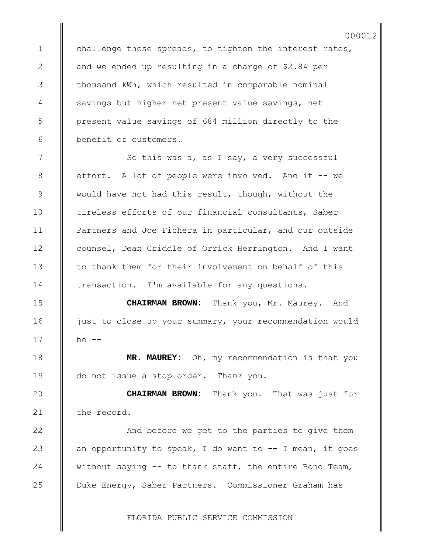challenge those spreads, to tighten the interest rates, and we ended up resulting in a charge of \$2.84 per thousand kWh, which resulted in comparable nominal savings but higher net present value savings, net present value savings of 684 million directly to the benefit of customers.

1

2

3

4

5

6

7

8

9

10

11

12

13

14

15

16

17

18

19

20

21

22

23

24

25

So this was a, as I say, a very successful effort. A lot of people were involved. And it -- we would have not had this result, though, without the tireless efforts of our financial consultants, Saber Partners and Joe Fichera in particular, and our outside counsel, Dean Criddle of Orrick Herrington. And I want to thank them for their involvement on behalf of this transaction. I'm available for any questions.

**CHAIRMAN BROWN:** Thank you, Mr. Maurey. And just to close up your summary, your recommendation would be  $--$ 

**MR. MAUREY:** Oh, my recommendation is that you do not issue a stop order. Thank you.

**CHAIRMAN BROWN:** Thank you. That was just for the record.

And before we get to the parties to give them an opportunity to speak, I do want to  $-$  I mean, it goes without saying -- to thank staff, the entire Bond Team, Duke Energy, Saber Partners. Commissioner Graham has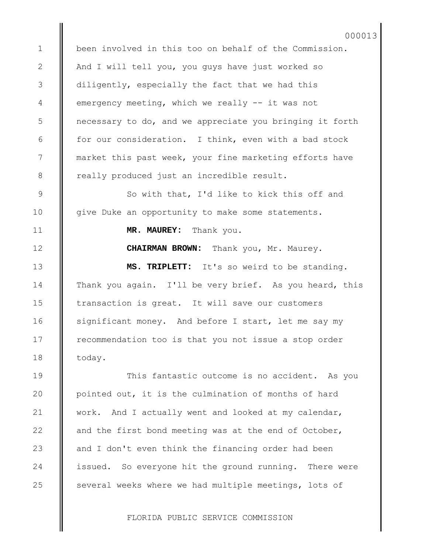been involved in this too on behalf of the Commission. And I will tell you, you guys have just worked so diligently, especially the fact that we had this emergency meeting, which we really -- it was not necessary to do, and we appreciate you bringing it forth for our consideration. I think, even with a bad stock market this past week, your fine marketing efforts have really produced just an incredible result.

So with that, I'd like to kick this off and give Duke an opportunity to make some statements.

**MR. MAUREY:** Thank you.

1

2

3

4

5

6

7

8

9

10

11

12

13

14

15

16

17

18

19

 $20$ 

21

22

23

24

25

**CHAIRMAN BROWN:** Thank you, Mr. Maurey.

**MS. TRIPLETT:** It's so weird to be standing. Thank you again. I'll be very brief. As you heard, this transaction is great. It will save our customers significant money. And before I start, let me say my recommendation too is that you not issue a stop order today.

This fantastic outcome is no accident. As you pointed out, it is the culmination of months of hard work. And I actually went and looked at my calendar, and the first bond meeting was at the end of October, and I don't even think the financing order had been issued. So everyone hit the ground running. There were several weeks where we had multiple meetings, lots of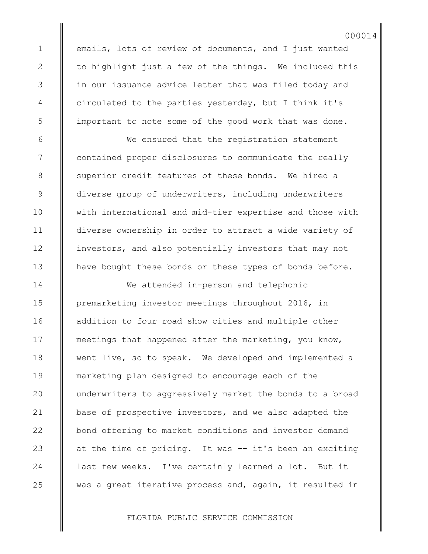emails, lots of review of documents, and I just wanted to highlight just a few of the things. We included this in our issuance advice letter that was filed today and circulated to the parties yesterday, but I think it's important to note some of the good work that was done.

We ensured that the registration statement contained proper disclosures to communicate the really superior credit features of these bonds. We hired a diverse group of underwriters, including underwriters with international and mid-tier expertise and those with diverse ownership in order to attract a wide variety of investors, and also potentially investors that may not have bought these bonds or these types of bonds before.

We attended in-person and telephonic premarketing investor meetings throughout 2016, in addition to four road show cities and multiple other meetings that happened after the marketing, you know, went live, so to speak. We developed and implemented a marketing plan designed to encourage each of the underwriters to aggressively market the bonds to a broad base of prospective investors, and we also adapted the bond offering to market conditions and investor demand at the time of pricing. It was -- it's been an exciting last few weeks. I've certainly learned a lot. But it was a great iterative process and, again, it resulted in

FLORIDA PUBLIC SERVICE COMMISSION

25

1

2

3

4

5

6

7

8

9

10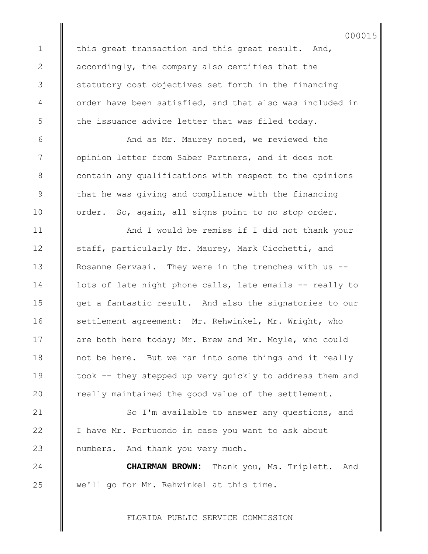this great transaction and this great result. And, accordingly, the company also certifies that the statutory cost objectives set forth in the financing order have been satisfied, and that also was included in the issuance advice letter that was filed today.

And as Mr. Maurey noted, we reviewed the opinion letter from Saber Partners, and it does not contain any qualifications with respect to the opinions that he was giving and compliance with the financing order. So, again, all signs point to no stop order.

And I would be remiss if I did not thank your staff, particularly Mr. Maurey, Mark Cicchetti, and Rosanne Gervasi. They were in the trenches with us - lots of late night phone calls, late emails -- really to get a fantastic result. And also the signatories to our settlement agreement: Mr. Rehwinkel, Mr. Wright, who are both here today; Mr. Brew and Mr. Moyle, who could not be here. But we ran into some things and it really took -- they stepped up very quickly to address them and really maintained the good value of the settlement.

So I'm available to answer any questions, and I have Mr. Portuondo in case you want to ask about numbers. And thank you very much.

**CHAIRMAN BROWN:** Thank you, Ms. Triplett. And we'll go for Mr. Rehwinkel at this time.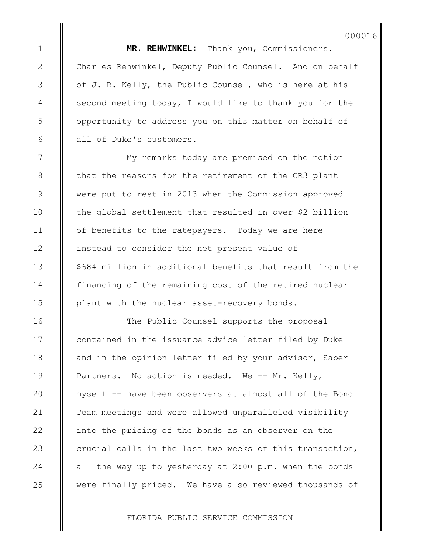**MR. REHWINKEL:** Thank you, Commissioners. Charles Rehwinkel, Deputy Public Counsel. And on behalf of J. R. Kelly, the Public Counsel, who is here at his second meeting today, I would like to thank you for the opportunity to address you on this matter on behalf of all of Duke's customers.

My remarks today are premised on the notion that the reasons for the retirement of the CR3 plant were put to rest in 2013 when the Commission approved the global settlement that resulted in over \$2 billion of benefits to the ratepayers. Today we are here instead to consider the net present value of \$684 million in additional benefits that result from the financing of the remaining cost of the retired nuclear plant with the nuclear asset-recovery bonds.

The Public Counsel supports the proposal contained in the issuance advice letter filed by Duke and in the opinion letter filed by your advisor, Saber Partners. No action is needed. We -- Mr. Kelly, myself -- have been observers at almost all of the Bond Team meetings and were allowed unparalleled visibility into the pricing of the bonds as an observer on the crucial calls in the last two weeks of this transaction, all the way up to yesterday at 2:00 p.m. when the bonds were finally priced. We have also reviewed thousands of

FLORIDA PUBLIC SERVICE COMMISSION

25

1

2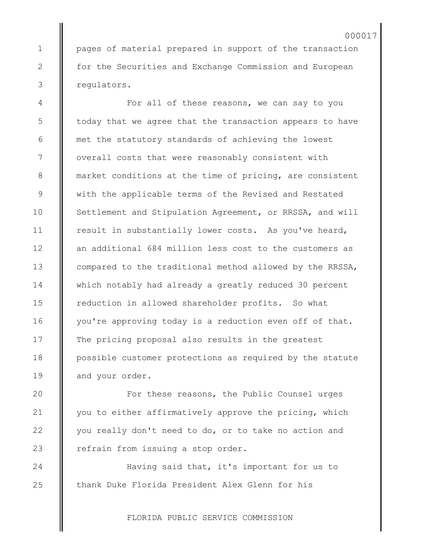pages of material prepared in support of the transaction for the Securities and Exchange Commission and European regulators.

For all of these reasons, we can say to you today that we agree that the transaction appears to have met the statutory standards of achieving the lowest overall costs that were reasonably consistent with market conditions at the time of pricing, are consistent with the applicable terms of the Revised and Restated Settlement and Stipulation Agreement, or RRSSA, and will result in substantially lower costs. As you've heard, an additional 684 million less cost to the customers as compared to the traditional method allowed by the RRSSA, which notably had already a greatly reduced 30 percent reduction in allowed shareholder profits. So what you're approving today is a reduction even off of that. The pricing proposal also results in the greatest possible customer protections as required by the statute and your order.

For these reasons, the Public Counsel urges you to either affirmatively approve the pricing, which you really don't need to do, or to take no action and refrain from issuing a stop order.

Having said that, it's important for us to thank Duke Florida President Alex Glenn for his

FLORIDA PUBLIC SERVICE COMMISSION

24

25

1

2

3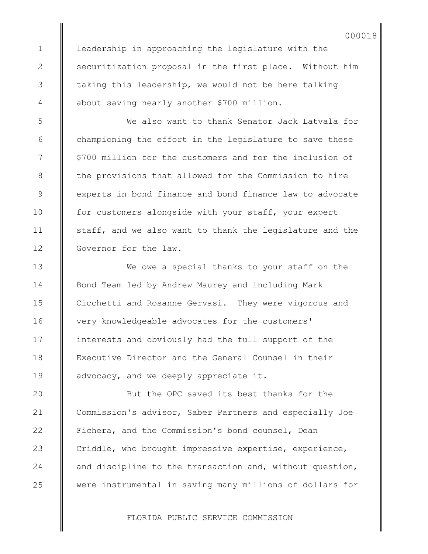leadership in approaching the legislature with the securitization proposal in the first place. Without him taking this leadership, we would not be here talking about saving nearly another \$700 million.

We also want to thank Senator Jack Latvala for championing the effort in the legislature to save these \$700 million for the customers and for the inclusion of the provisions that allowed for the Commission to hire experts in bond finance and bond finance law to advocate for customers alongside with your staff, your expert staff, and we also want to thank the legislature and the Governor for the law.

We owe a special thanks to your staff on the Bond Team led by Andrew Maurey and including Mark Cicchetti and Rosanne Gervasi. They were vigorous and very knowledgeable advocates for the customers' interests and obviously had the full support of the Executive Director and the General Counsel in their advocacy, and we deeply appreciate it.

But the OPC saved its best thanks for the Commission's advisor, Saber Partners and especially Joe Fichera, and the Commission's bond counsel, Dean Criddle, who brought impressive expertise, experience, and discipline to the transaction and, without question, were instrumental in saving many millions of dollars for

FLORIDA PUBLIC SERVICE COMMISSION

1

2

3

4

5

6

7

8

9

10

11

12

13

14

15

16

17

18

19

 $20$ 

21

22

23

24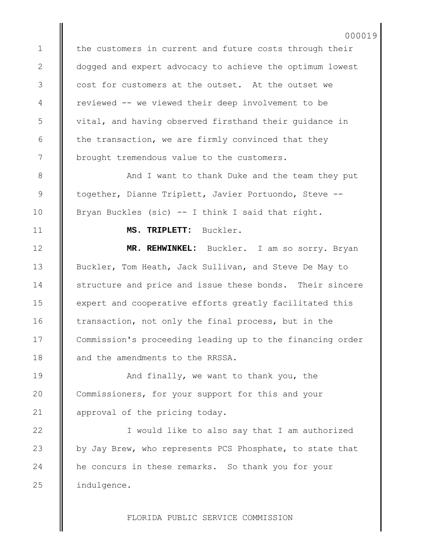the customers in current and future costs through their dogged and expert advocacy to achieve the optimum lowest cost for customers at the outset. At the outset we reviewed -- we viewed their deep involvement to be vital, and having observed firsthand their guidance in the transaction, we are firmly convinced that they brought tremendous value to the customers.

And I want to thank Duke and the team they put together, Dianne Triplett, Javier Portuondo, Steve -- Bryan Buckles (sic) -- I think I said that right.

**MS. TRIPLETT:** Buckler.

**MR. REHWINKEL:** Buckler. I am so sorry. Bryan Buckler, Tom Heath, Jack Sullivan, and Steve De May to structure and price and issue these bonds. Their sincere expert and cooperative efforts greatly facilitated this transaction, not only the final process, but in the Commission's proceeding leading up to the financing order and the amendments to the RRSSA.

And finally, we want to thank you, the Commissioners, for your support for this and your approval of the pricing today.

I would like to also say that I am authorized by Jay Brew, who represents PCS Phosphate, to state that he concurs in these remarks. So thank you for your indulgence.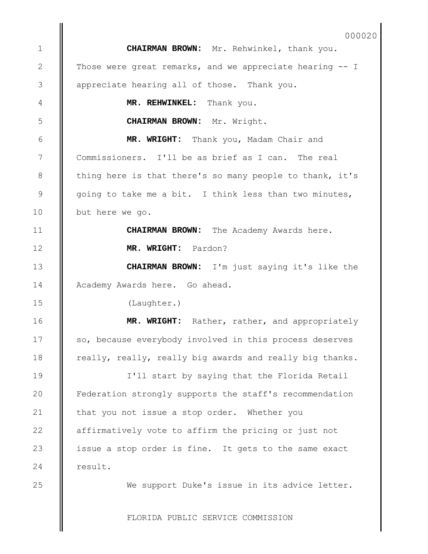**CHAIRMAN BROWN:** Mr. Rehwinkel, thank you. Those were great remarks, and we appreciate hearing -- I appreciate hearing all of those. Thank you.

**MR. REHWINKEL:** Thank you.

**CHAIRMAN BROWN:** Mr. Wright.

**MR. WRIGHT:** Thank you, Madam Chair and Commissioners. I'll be as brief as I can. The real thing here is that there's so many people to thank, it's going to take me a bit. I think less than two minutes, but here we go.

> **CHAIRMAN BROWN:** The Academy Awards here. **MR. WRIGHT:** Pardon?

**CHAIRMAN BROWN:** I'm just saying it's like the Academy Awards here. Go ahead.

(Laughter.)

**MR. WRIGHT:** Rather, rather, and appropriately so, because everybody involved in this process deserves really, really, really big awards and really big thanks.

I'll start by saying that the Florida Retail Federation strongly supports the staff's recommendation that you not issue a stop order. Whether you affirmatively vote to affirm the pricing or just not issue a stop order is fine. It gets to the same exact result.

We support Duke's issue in its advice letter.

FLORIDA PUBLIC SERVICE COMMISSION

25

1

2

3

4

5

6

7

8

9

10

11

12

13

14

15

16

17

18

19

20

21

22

23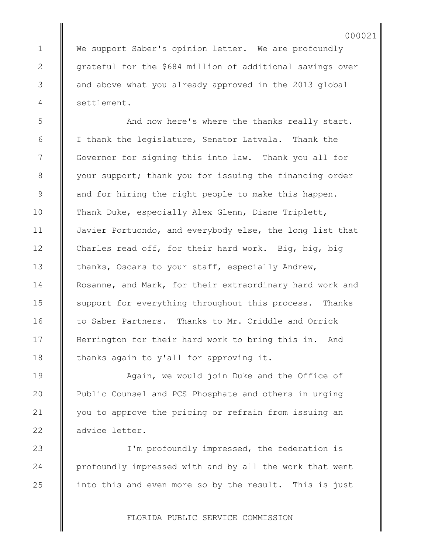We support Saber's opinion letter. We are profoundly grateful for the \$684 million of additional savings over and above what you already approved in the 2013 global settlement.

And now here's where the thanks really start. I thank the legislature, Senator Latvala. Thank the Governor for signing this into law. Thank you all for your support; thank you for issuing the financing order and for hiring the right people to make this happen. Thank Duke, especially Alex Glenn, Diane Triplett, Javier Portuondo, and everybody else, the long list that Charles read off, for their hard work. Big, big, big thanks, Oscars to your staff, especially Andrew, Rosanne, and Mark, for their extraordinary hard work and support for everything throughout this process. Thanks to Saber Partners. Thanks to Mr. Criddle and Orrick Herrington for their hard work to bring this in. And thanks again to y'all for approving it.

Again, we would join Duke and the Office of Public Counsel and PCS Phosphate and others in urging you to approve the pricing or refrain from issuing an advice letter.

I'm profoundly impressed, the federation is profoundly impressed with and by all the work that went into this and even more so by the result. This is just

FLORIDA PUBLIC SERVICE COMMISSION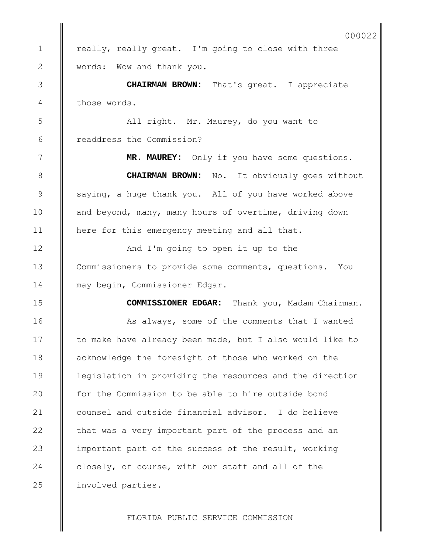really, really great. I'm going to close with three words: Wow and thank you.

1

2

3

4

5

6

7

8

9

10

11

12

13

14

**CHAIRMAN BROWN:** That's great. I appreciate those words.

All right. Mr. Maurey, do you want to readdress the Commission?

**MR. MAUREY:** Only if you have some questions.

**CHAIRMAN BROWN:** No. It obviously goes without saying, a huge thank you. All of you have worked above and beyond, many, many hours of overtime, driving down here for this emergency meeting and all that.

And I'm going to open it up to the Commissioners to provide some comments, questions. You may begin, Commissioner Edgar.

**COMMISSIONER EDGAR:** Thank you, Madam Chairman. As always, some of the comments that I wanted to make have already been made, but I also would like to acknowledge the foresight of those who worked on the legislation in providing the resources and the direction for the Commission to be able to hire outside bond counsel and outside financial advisor. I do believe that was a very important part of the process and an important part of the success of the result, working closely, of course, with our staff and all of the involved parties. 15 16 17 18 19 20 21 22 23 24 25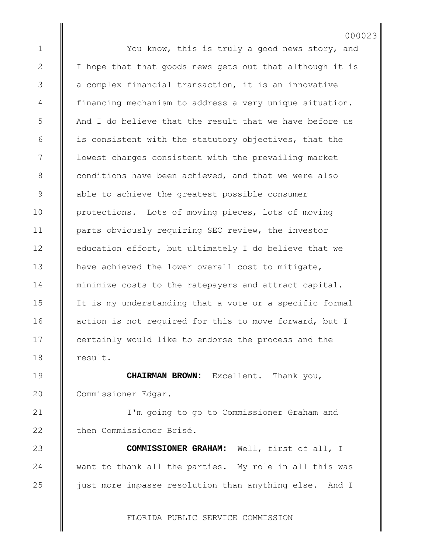You know, this is truly a good news story, and I hope that that goods news gets out that although it is a complex financial transaction, it is an innovative financing mechanism to address a very unique situation. And I do believe that the result that we have before us is consistent with the statutory objectives, that the lowest charges consistent with the prevailing market conditions have been achieved, and that we were also able to achieve the greatest possible consumer protections. Lots of moving pieces, lots of moving parts obviously requiring SEC review, the investor education effort, but ultimately I do believe that we have achieved the lower overall cost to mitigate, minimize costs to the ratepayers and attract capital. It is my understanding that a vote or a specific formal action is not required for this to move forward, but I certainly would like to endorse the process and the result. 000023

1

2

3

4

5

6

7

8

9

10

11

12

13

14

15

16

17

18

19

20

21

22

23

24

25

**CHAIRMAN BROWN:** Excellent. Thank you, Commissioner Edgar.

I'm going to go to Commissioner Graham and then Commissioner Brisé.

**COMMISSIONER GRAHAM:** Well, first of all, I want to thank all the parties. My role in all this was just more impasse resolution than anything else. And I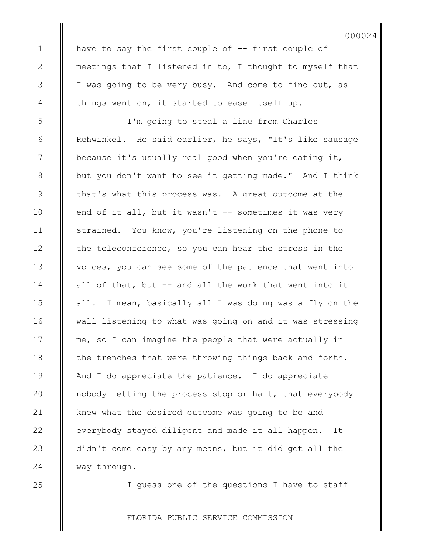have to say the first couple of -- first couple of meetings that I listened in to, I thought to myself that I was going to be very busy. And come to find out, as things went on, it started to ease itself up.

I'm going to steal a line from Charles Rehwinkel. He said earlier, he says, "It's like sausage because it's usually real good when you're eating it, but you don't want to see it getting made." And I think that's what this process was. A great outcome at the end of it all, but it wasn't -- sometimes it was very strained. You know, you're listening on the phone to the teleconference, so you can hear the stress in the voices, you can see some of the patience that went into all of that, but -- and all the work that went into it all. I mean, basically all I was doing was a fly on the wall listening to what was going on and it was stressing me, so I can imagine the people that were actually in the trenches that were throwing things back and forth. And I do appreciate the patience. I do appreciate nobody letting the process stop or halt, that everybody knew what the desired outcome was going to be and everybody stayed diligent and made it all happen. It didn't come easy by any means, but it did get all the way through.

25

24

1

2

3

4

5

6

7

8

9

10

11

12

13

14

15

16

17

18

19

20

21

22

23

I guess one of the questions I have to staff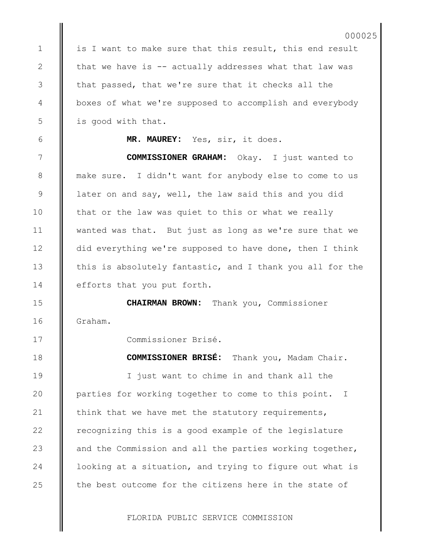is I want to make sure that this result, this end result that we have is -- actually addresses what that law was that passed, that we're sure that it checks all the boxes of what we're supposed to accomplish and everybody is good with that.

1

2

3

4

5

6

7

8

9

10

11

12

13

14

15

16

17

18

19

20

21

22

23

24

25

**MR. MAUREY:** Yes, sir, it does.

**COMMISSIONER GRAHAM:** Okay. I just wanted to make sure. I didn't want for anybody else to come to us later on and say, well, the law said this and you did that or the law was quiet to this or what we really wanted was that. But just as long as we're sure that we did everything we're supposed to have done, then I think this is absolutely fantastic, and I thank you all for the efforts that you put forth.

**CHAIRMAN BROWN:** Thank you, Commissioner Graham.

Commissioner Brisé.

**COMMISSIONER BRISÉ:** Thank you, Madam Chair. I just want to chime in and thank all the parties for working together to come to this point. I think that we have met the statutory requirements, recognizing this is a good example of the legislature and the Commission and all the parties working together, looking at a situation, and trying to figure out what is the best outcome for the citizens here in the state of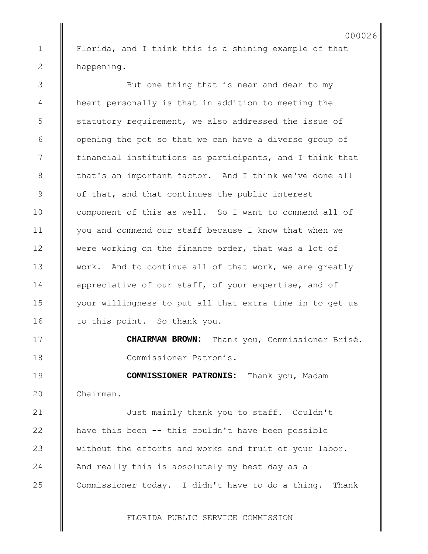Florida, and I think this is a shining example of that happening.

1

2

3

4

5

6

7

8

9

10

11

12

13

14

15

16

17

18

19

20

21

22

23

24

25

But one thing that is near and dear to my heart personally is that in addition to meeting the statutory requirement, we also addressed the issue of opening the pot so that we can have a diverse group of financial institutions as participants, and I think that that's an important factor. And I think we've done all of that, and that continues the public interest component of this as well. So I want to commend all of you and commend our staff because I know that when we were working on the finance order, that was a lot of work. And to continue all of that work, we are greatly appreciative of our staff, of your expertise, and of your willingness to put all that extra time in to get us to this point. So thank you.

> **CHAIRMAN BROWN:** Thank you, Commissioner Brisé. Commissioner Patronis.

**COMMISSIONER PATRONIS:** Thank you, Madam Chairman.

Just mainly thank you to staff. Couldn't have this been -- this couldn't have been possible without the efforts and works and fruit of your labor. And really this is absolutely my best day as a Commissioner today. I didn't have to do a thing. Thank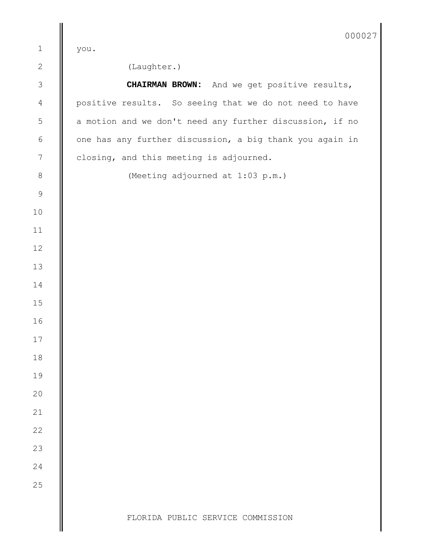|                | 0000                                                     |
|----------------|----------------------------------------------------------|
| $\mathbf 1$    | you.                                                     |
| $\overline{c}$ | (Laughter.)                                              |
| $\mathfrak{Z}$ | <b>CHAIRMAN BROWN:</b> And we get positive results,      |
| $\overline{4}$ | positive results. So seeing that we do not need to have  |
| $\mathsf S$    | a motion and we don't need any further discussion, if no |
| $\epsilon$     | one has any further discussion, a big thank you again in |
| $\sqrt{ }$     | closing, and this meeting is adjourned.                  |
| $\,8\,$        | (Meeting adjourned at 1:03 p.m.)                         |
| $\mathcal{G}$  |                                                          |
| $10$           |                                                          |
| $11$           |                                                          |
| 12             |                                                          |
| 13             |                                                          |
| 14             |                                                          |
| 15             |                                                          |
| 16             |                                                          |
| 17             |                                                          |
| 18             |                                                          |
| 19             |                                                          |
| 20             |                                                          |
| 21             |                                                          |
| 22             |                                                          |
| 23             |                                                          |
| 24             |                                                          |
| 25             |                                                          |
|                |                                                          |
|                | FLORIDA PUBLIC SERVICE COMMISSION                        |